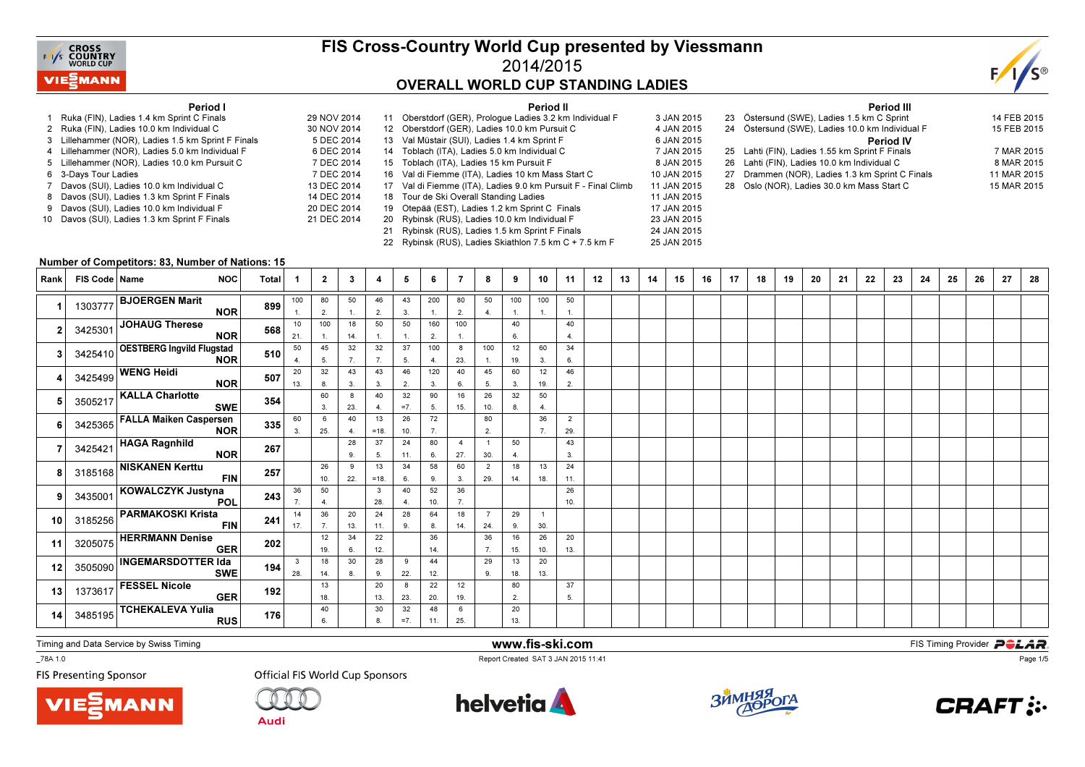

## FIS Cross-Country World Cup presented by Viessmann2014/2015OVERALL WORLD CUP STANDING LADIES

25 JAN 2015



#### Period I

- 1 Ruka (FIN), Ladies 1.4 km Sprint C Finals 29 NOV 20142 Ruka (FIN), Ladies 10.0 km Individual C
- 3 Lillehammer (NOR), Ladies 1.5 km Sprint F Finals
- 4 Lillehammer (NOR), Ladies 5.0 km Individual F
- 5 Lillehammer (NOR), Ladies 10.0 km Pursuit C
- s 7 DEC 2014 6 3-Days Tour Ladies
- 7 Davos (SUI), Ladies 10.0 km Individual C
- 8 Davos (SUI), Ladies 1.3 km Sprint F Finals
- 9 Davos (SUI), Ladies 10.0 km Individual F
- 10 Davos (SUI), Ladies 1.3 km Sprint F Finals

|    | Period II                                    |                                                                                                                                                                                                                                                                                                                                                                                                                       |
|----|----------------------------------------------|-----------------------------------------------------------------------------------------------------------------------------------------------------------------------------------------------------------------------------------------------------------------------------------------------------------------------------------------------------------------------------------------------------------------------|
|    |                                              | 3 JAN 2015                                                                                                                                                                                                                                                                                                                                                                                                            |
|    |                                              | 4 JAN 2015                                                                                                                                                                                                                                                                                                                                                                                                            |
|    |                                              | 6 JAN 2015                                                                                                                                                                                                                                                                                                                                                                                                            |
|    |                                              | 7 JAN 2015                                                                                                                                                                                                                                                                                                                                                                                                            |
|    |                                              | 8 JAN 2015                                                                                                                                                                                                                                                                                                                                                                                                            |
|    |                                              | 10 JAN 2015                                                                                                                                                                                                                                                                                                                                                                                                           |
|    |                                              | 11 JAN 2015                                                                                                                                                                                                                                                                                                                                                                                                           |
|    |                                              | 11 JAN 2015                                                                                                                                                                                                                                                                                                                                                                                                           |
| 19 | Otepää (EST), Ladies 1.2 km Sprint C Finals  | 17 JAN 2015                                                                                                                                                                                                                                                                                                                                                                                                           |
| 20 | Rybinsk (RUS), Ladies 10.0 km Individual F   | 23 JAN 2015                                                                                                                                                                                                                                                                                                                                                                                                           |
| 21 | Rybinsk (RUS), Ladies 1.5 km Sprint F Finals | 24 JAN 2015                                                                                                                                                                                                                                                                                                                                                                                                           |
|    |                                              | 11 Oberstdorf (GER), Prologue Ladies 3.2 km Individual F<br>12 Oberstdorf (GER), Ladies 10.0 km Pursuit C<br>13 Val Müstair (SUI), Ladies 1.4 km Sprint F<br>14 Toblach (ITA), Ladies 5.0 km Individual C<br>15 Toblach (ITA), Ladies 15 km Pursuit F<br>16 Val di Fiemme (ITA), Ladies 10 km Mass Start C<br>17 Val di Fiemme (ITA), Ladies 9.0 km Pursuit F - Final Climb<br>18 Tour de Ski Overall Standing Ladies |

22 Rybinsk (RUS), Ladies Skiathlon 7.5 km C + 7.5 km F

|     | <b>Period III</b>                               |             |
|-----|-------------------------------------------------|-------------|
|     | 23 Östersund (SWE), Ladies 1.5 km C Sprint      | 14 FEB 2015 |
|     | 24 Östersund (SWE), Ladies 10.0 km Individual F | 15 FEB 2015 |
|     | <b>Period IV</b>                                |             |
|     | 25 Lahti (FIN), Ladies 1.55 km Sprint F Finals  | 7 MAR 2015  |
|     | 26 Lahti (FIN), Ladies 10.0 km Individual C     | 8 MAR 2015  |
|     | 27 Drammen (NOR), Ladies 1.3 km Sprint C Finals | 11 MAR 2015 |
| 28. | Oslo (NOR), Ladies 30.0 km Mass Start C         | 15 MAR 2015 |
|     |                                                 |             |

#### Number of Competitors: 83, Number of Nations: 15

| Rank | FIS Code   Name | <b>NOC</b>                                      | Total | -1                  | $\mathbf{2}$         | 3         | 4            | 5           | 6         | 7         | 8                     | 9                       | 10                    | 11                    | 12 | 13 | 14 | 15 | 16 | 17 | 18 | 19 | 20 | 21 | 22 | 23 | 24 | 25 | 26 | 27 | 28 |
|------|-----------------|-------------------------------------------------|-------|---------------------|----------------------|-----------|--------------|-------------|-----------|-----------|-----------------------|-------------------------|-----------------------|-----------------------|----|----|----|----|----|----|----|----|----|----|----|----|----|----|----|----|----|
|      | 1303777         | <b>BJOERGEN Marit</b><br><b>NOR</b>             | 899   | 100                 | 80<br>2.             | 50        | 46<br>2.     | 43<br>3.    | 200<br>1. | 80<br>2.  | 50<br>4.              | 100<br>$\overline{1}$ . | 100<br>$\mathbf{1}$ . | 50<br>1.              |    |    |    |    |    |    |    |    |    |    |    |    |    |    |    |    |    |
|      |                 | 3425301 JOHAUG Therese<br><b>NOR</b>            | 568   | 10<br>21.           | 100                  | 18<br>14. | 50<br>1.     | 50<br>1.    | 160<br>2. | 100       |                       | 40<br>6.                |                       | 40<br>4.              |    |    |    |    |    |    |    |    |    |    |    |    |    |    |    |    |    |
|      |                 | 3425410 OESTBERG Ingvild Flugstad<br><b>NOR</b> | 510   | 50<br>4.            | 45<br>5.             | 32<br>7.  | 32<br>7.     | 37<br>5.    | 100<br>4. | 8<br>23.  | 100<br>1.             | 12<br>19.               | 60<br>3.              | 34<br>6.              |    |    |    |    |    |    |    |    |    |    |    |    |    |    |    |    |    |
|      |                 | 3425499 WENG Heidi<br><b>NOR</b>                | 507   | 20<br>13.           | 32<br>8.             | 43<br>3.  | 43<br>3.     | 46<br>2.    | 120<br>3. | 40<br>6.  | 45<br>5.              | 60<br>3.                | 12<br>19.             | 46<br>2.              |    |    |    |    |    |    |    |    |    |    |    |    |    |    |    |    |    |
|      |                 | 3505217 KALLA Charlotte<br><b>SWE</b>           | 354   |                     | 60<br>3.             | 8<br>23.  | 40<br>4.     | 32<br>$=7.$ | 90<br>5.  | 16<br>15. | 26<br>10.             | 32<br>8.                | 50<br>4.              |                       |    |    |    |    |    |    |    |    |    |    |    |    |    |    |    |    |    |
|      |                 | 3425365 FALLA Maiken Caspersen<br><b>NOR</b>    | 335   | 60<br>3.            | 6<br>25.             | 40<br>4.  | 13<br>$=18.$ | 26<br>10.   | 72<br>7.  |           | 80<br>2.              |                         | 36<br>7.              | $\overline{2}$<br>29. |    |    |    |    |    |    |    |    |    |    |    |    |    |    |    |    |    |
|      |                 | 3425421 HAGA Ragnhild<br><b>NOR</b>             | 267   |                     |                      | 28<br>9.  | 37<br>5.     | 24<br>11.   | 80<br>6.  | 4<br>27.  | $\overline{1}$<br>30. | 50<br>4.                |                       | 43<br>3.              |    |    |    |    |    |    |    |    |    |    |    |    |    |    |    |    |    |
|      |                 | 3185168 NISKANEN Kerttu<br><b>FIN</b>           | 257   |                     | 26<br>10.            | 9<br>22.  | 13<br>$=18.$ | 34<br>6.    | 58<br>9.  | 60<br>3.  | $\overline{2}$<br>29. | 18<br>14.               | 13<br>18.             | 24<br>11.             |    |    |    |    |    |    |    |    |    |    |    |    |    |    |    |    |    |
| 9    |                 | 3435001 KOWALCZYK Justyna<br><b>POL</b>         | 243   | 36<br>7.            | 50<br>$\overline{4}$ |           | 3<br>28.     | 40<br>4.    | 52<br>10. | 36<br>7.  |                       |                         |                       | 26<br>10.             |    |    |    |    |    |    |    |    |    |    |    |    |    |    |    |    |    |
| 10   | 3185256         | <b>PARMAKOSKI Krista</b><br><b>FIN</b>          | 241   | 14<br>17.           | 36<br>7.             | 20<br>13. | 24<br>11.    | 28<br>9.    | 64<br>8.  | 18<br>14. | $\overline{7}$<br>24. | 29<br>9.                | $\overline{1}$<br>30. |                       |    |    |    |    |    |    |    |    |    |    |    |    |    |    |    |    |    |
| 11   |                 | 3205075 HERRMANN Denise<br><b>GER</b>           | 202   |                     | 12<br>19.            | 34<br>6.  | 22<br>12.    |             | 36<br>14. |           | 36<br>7.              | 16<br>15.               | 26<br>10.             | 20<br>13.             |    |    |    |    |    |    |    |    |    |    |    |    |    |    |    |    |    |
| 12   |                 | 3505090 INGEMARSDOTTER Ida<br><b>SWE</b>        | 194   | $\mathbf{3}$<br>28. | 18<br>14.            | 30<br>8.  | 28<br>9.     | 9<br>22.    | 44<br>12. |           | 29<br>9.              | 13<br>18.               | 20<br>13.             |                       |    |    |    |    |    |    |    |    |    |    |    |    |    |    |    |    |    |
| 13   |                 | 1373617 FESSEL Nicole<br><b>GER</b>             | 192   |                     | 13<br>18.            |           | 20<br>13.    | 8<br>23.    | 22<br>20. | 12<br>19. |                       | 80<br>2.                |                       | 37<br>5.              |    |    |    |    |    |    |    |    |    |    |    |    |    |    |    |    |    |
| 14   | 3485195         | TCHEKALEVA Yulia<br><b>RUS</b>                  | 176   |                     | 40<br>6.             |           | 30<br>8.     | 32<br>$=7.$ | 48<br>11. | 6<br>25.  |                       | 20<br>13.               |                       |                       |    |    |    |    |    |    |    |    |    |    |    |    |    |    |    |    |    |

Timing and Data Service by Swiss Timing

\_78A 1.0

**FIS Presenting Sponsor** 





**Audi** 



www.fis-ski.com

Report Created SAT 3 JAN 2015 11:41





**CRAFT:..**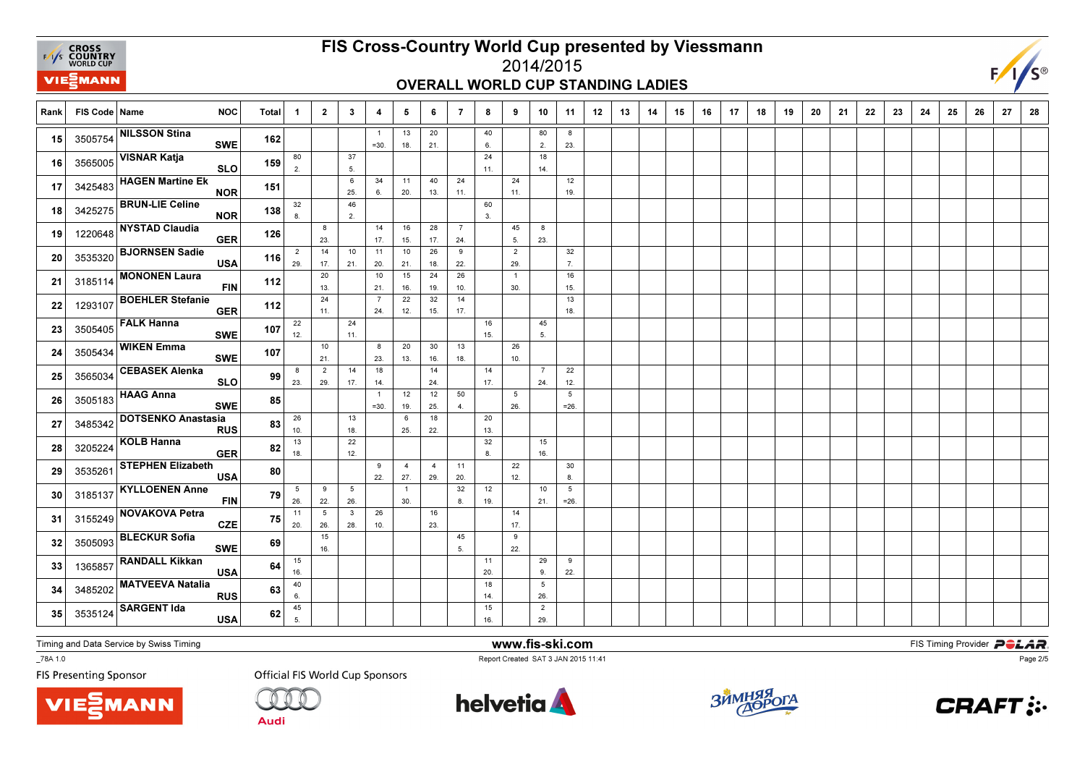**EXAMPLE CROSS**<br>
FAYS **COUNTRY**<br>
WORLD CUP VIEZMANN

# FIS Cross-Country World Cup presented by Viessmann

#### 2014/2015OVERALL WORLD CUP STANDING LADIES



| Rank | FIS Code   Name | <b>NOC</b>                              | <b>Total</b> | -1                     | $\overline{2}$        | $\mathbf{3}$        | 4                         | 5                     | 6                     | $\overline{7}$        | 8         | 9                     | 10                    | 11                        | 12 | 13 | 14 | 15 | 16 | 17 | 18 | 19 | 20 | 21 | 22 | 23 | 24 | 25 | 26 | 27 | 28 |
|------|-----------------|-----------------------------------------|--------------|------------------------|-----------------------|---------------------|---------------------------|-----------------------|-----------------------|-----------------------|-----------|-----------------------|-----------------------|---------------------------|----|----|----|----|----|----|----|----|----|----|----|----|----|----|----|----|----|
| 15   | 3505754         | <b>NILSSON Stina</b><br><b>SWE</b>      | 162          |                        |                       |                     | $=30.$                    | 13<br>18.             | 20<br>21.             |                       | 40<br>6.  |                       | 80<br>2.              | 8<br>23.                  |    |    |    |    |    |    |    |    |    |    |    |    |    |    |    |    |    |
| 16   | 3565005         | <b>VISNAR Katja</b><br><b>SLO</b>       | 159          | 80<br>2.               |                       | 37<br>5.            |                           |                       |                       |                       | 24<br>11. |                       | 18<br>14.             |                           |    |    |    |    |    |    |    |    |    |    |    |    |    |    |    |    |    |
| 17   | 3425483         | <b>HAGEN Martine Ek</b><br><b>NOR</b>   | 151          |                        |                       | 6<br>25.            | 34<br>6.                  | 11<br>20.             | 40<br>13.             | 24<br>11.             |           | 24<br>11.             |                       | 12<br>19.                 |    |    |    |    |    |    |    |    |    |    |    |    |    |    |    |    |    |
| 18   | 3425275         | <b>BRUN-LIE Celine</b><br><b>NOR</b>    | 138          | 32<br>8.               |                       | 46<br>2.            |                           |                       |                       |                       | 60<br>3.  |                       |                       |                           |    |    |    |    |    |    |    |    |    |    |    |    |    |    |    |    |    |
| 19   | 1220648         | NYSTAD Claudia<br><b>GER</b>            | 126          |                        | 8<br>23.              |                     | 14<br>17.                 | 16<br>15.             | 28<br>17.             | $\overline{7}$<br>24. |           | 45<br>5.              | 8<br>23.              |                           |    |    |    |    |    |    |    |    |    |    |    |    |    |    |    |    |    |
| 20   | 3535320         | <b>BJORNSEN Sadie</b><br><b>USA</b>     | 116          | $\overline{2}$<br>29.  | 14<br>17.             | 10<br>21.           | 11<br>20.                 | 10<br>21.             | 26<br>18.             | 9<br>22.              |           | $\overline{2}$<br>29. |                       | 32<br>7.                  |    |    |    |    |    |    |    |    |    |    |    |    |    |    |    |    |    |
| 21   | 3185114         | <b>MONONEN Laura</b><br><b>FIN</b>      | 112          |                        | 20<br>13.             |                     | 10<br>21.                 | 15<br>16.             | 24<br>19.             | 26<br>10.             |           | $\overline{1}$<br>30. |                       | 16<br>15.                 |    |    |    |    |    |    |    |    |    |    |    |    |    |    |    |    |    |
| 22   | 1293107         | <b>BOEHLER Stefanie</b><br><b>GER</b>   | 112          |                        | 24<br>11.             |                     | $\overline{7}$<br>24.     | 22<br>12.             | 32<br>15.             | 14<br>17.             |           |                       |                       | 13<br>18.                 |    |    |    |    |    |    |    |    |    |    |    |    |    |    |    |    |    |
| 23   | 3505405         | <b>FALK Hanna</b><br><b>SWE</b>         | 107          | 22<br>12.              |                       | 24<br>11.           |                           |                       |                       |                       | 16<br>15. |                       | 45<br>5.              |                           |    |    |    |    |    |    |    |    |    |    |    |    |    |    |    |    |    |
| 24   | 3505434         | <b>WIKEN Emma</b><br><b>SWE</b>         | 107          |                        | 10<br>21.             |                     | 8<br>23.                  | 20<br>13.             | 30<br>16.             | 13<br>18.             |           | 26<br>10.             |                       |                           |    |    |    |    |    |    |    |    |    |    |    |    |    |    |    |    |    |
| 25   | 3565034         | <b>CEBASEK Alenka</b><br><b>SLO</b>     | 99           | 8<br>23.               | $\overline{2}$<br>29. | 14<br>17.           | 18<br>14.                 |                       | 14<br>24.             |                       | 14<br>17. |                       | $\overline{7}$<br>24. | 22<br>12.                 |    |    |    |    |    |    |    |    |    |    |    |    |    |    |    |    |    |
| 26   | 3505183         | <b>HAAG Anna</b><br><b>SWE</b>          | 85           |                        |                       |                     | $\overline{1}$<br>$= 30.$ | 12<br>19.             | 12<br>25.             | 50<br>4.              |           | 5<br>26.              |                       | 5<br>$=26.$               |    |    |    |    |    |    |    |    |    |    |    |    |    |    |    |    |    |
| 27   | 3485342         | <b>DOTSENKO Anastasia</b><br><b>RUS</b> | 83           | 26<br>10.              |                       | 13<br>18.           |                           | 6<br>25.              | 18<br>22.             |                       | 20<br>13. |                       |                       |                           |    |    |    |    |    |    |    |    |    |    |    |    |    |    |    |    |    |
| 28   | 3205224         | KOLB Hanna<br><b>GER</b>                | 82           | $13$<br>18.            |                       | 22<br>12.           |                           |                       |                       |                       | 32<br>8.  |                       | 15<br>16.             |                           |    |    |    |    |    |    |    |    |    |    |    |    |    |    |    |    |    |
| 29   | 3535261         | <b>STEPHEN Elizabeth</b><br><b>USA</b>  | 80           |                        |                       |                     | 9<br>22.                  | $\overline{4}$<br>27. | $\overline{4}$<br>29. | 11<br>20.             |           | 22<br>12.             |                       | 30<br>8.                  |    |    |    |    |    |    |    |    |    |    |    |    |    |    |    |    |    |
| 30   | 3185137         | <b>KYLLOENEN Anne</b><br><b>FIN</b>     | 79           | $5\overline{5}$<br>26. | 9<br>22.              | 5<br>26.            |                           | $\overline{1}$<br>30. |                       | 32<br>8.              | 12<br>19. |                       | 10<br>21.             | $5\phantom{.0}$<br>$=26.$ |    |    |    |    |    |    |    |    |    |    |    |    |    |    |    |    |    |
| 31   | 3155249         | <b>NOVAKOVA Petra</b><br><b>CZE</b>     | 75           | 11<br>20.              | 5<br>26.              | $\mathbf{3}$<br>28. | 26<br>10.                 |                       | 16<br>23.             |                       |           | 14<br>17.             |                       |                           |    |    |    |    |    |    |    |    |    |    |    |    |    |    |    |    |    |
| 32   | 3505093         | <b>BLECKUR Sofia</b><br><b>SWE</b>      | 69           |                        | 15<br>16.             |                     |                           |                       |                       | 45<br>5.              |           | 9<br>22.              |                       |                           |    |    |    |    |    |    |    |    |    |    |    |    |    |    |    |    |    |
| 33   | 1365857         | <b>RANDALL Kikkan</b><br><b>USA</b>     | 64           | 15<br>16.              |                       |                     |                           |                       |                       |                       | 11<br>20. |                       | 29<br>9.              | 9<br>22.                  |    |    |    |    |    |    |    |    |    |    |    |    |    |    |    |    |    |
| 34   | 3485202         | <b>MATVEEVA Natalia</b><br><b>RUS</b>   | 63           | 40<br>6.               |                       |                     |                           |                       |                       |                       | 18<br>14. |                       | 5<br>26.              |                           |    |    |    |    |    |    |    |    |    |    |    |    |    |    |    |    |    |
| 35   | 3535124         | <b>SARGENT Ida</b><br><b>USA</b>        | 62           | 45<br>5.               |                       |                     |                           |                       |                       |                       | 15<br>16. |                       | $\overline{2}$<br>29. |                           |    |    |    |    |    |    |    |    |    |    |    |    |    |    |    |    |    |

Timing and Data Service by Swiss Timing

VIEZMANN

\_78A 1.0

**FIS Presenting Sponsor** 

**Official FIS World Cup Sponsors** 

**Audi** 



www.fis-ski.com

Report Created SAT 3 JAN 2015 11:41



**m**<br>Fist Timing Provider<br>F<sup>11:41</sup>



Page 2/5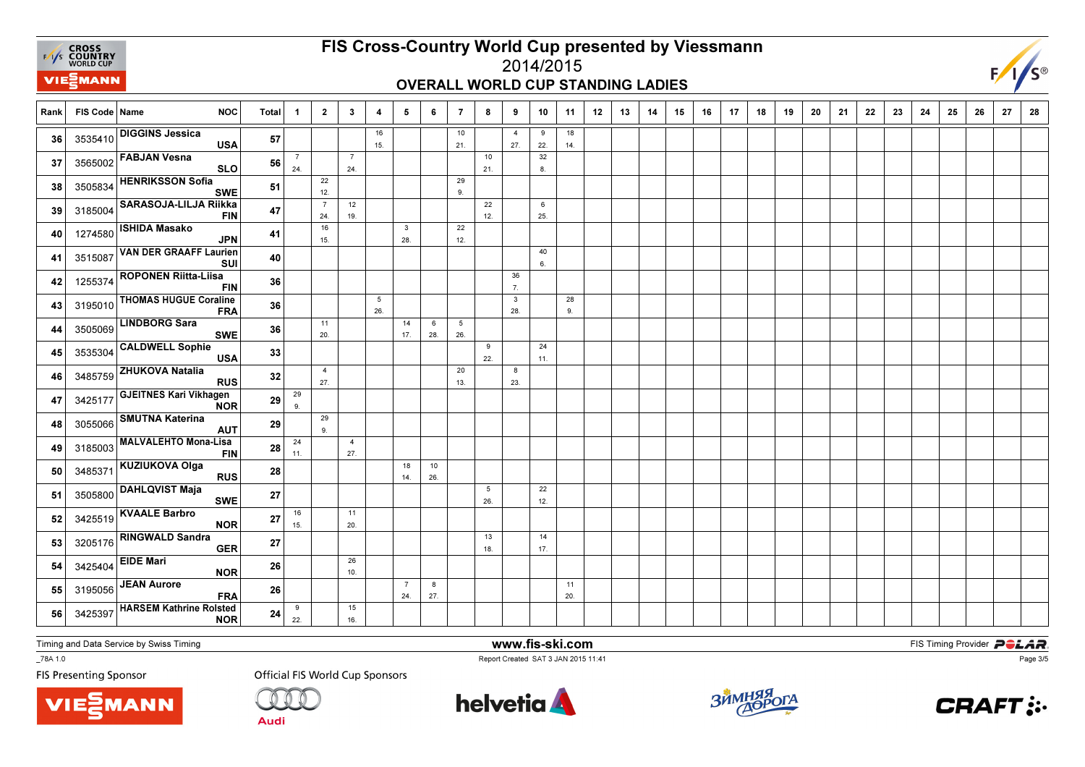

# FIS Cross-Country World Cup presented by Viessmann

#### 2014/2015OVERALL WORLD CUP STANDING LADIES



| Rank | FIS Code   Name | <b>NOC</b>                                   | <b>Total</b> | -1                    | $\overline{2}$        | 3                     | 4         | 5                     | 6         | $\overline{7}$ | 8         | 9                     | 10        | 11        | 12 | 13 | 14 | 15 | 16 | 17 | 18 | 19 | 20 | 21 | 22 | 23 | 24 | 25 | 26 | 27 | 28 |
|------|-----------------|----------------------------------------------|--------------|-----------------------|-----------------------|-----------------------|-----------|-----------------------|-----------|----------------|-----------|-----------------------|-----------|-----------|----|----|----|----|----|----|----|----|----|----|----|----|----|----|----|----|----|
| 36   |                 | 3535410 DIGGINS Jessica<br><b>USA</b>        | 57           |                       |                       |                       | 16<br>15. |                       |           | 10<br>21.      |           | $\overline{4}$<br>27. | 9<br>22.  | 18<br>14. |    |    |    |    |    |    |    |    |    |    |    |    |    |    |    |    |    |
| 37   |                 | 3565002 FABJAN Vesna<br><b>SLO</b>           | 56           | $\overline{7}$<br>24. |                       | $\overline{7}$<br>24. |           |                       |           |                | 10<br>21. |                       | 32<br>8.  |           |    |    |    |    |    |    |    |    |    |    |    |    |    |    |    |    |    |
| 38   | 3505834         | <b>HENRIKSSON Sofia</b><br><b>SWE</b>        | 51           |                       | 22<br>12.             |                       |           |                       |           | 29<br>9.       |           |                       |           |           |    |    |    |    |    |    |    |    |    |    |    |    |    |    |    |    |    |
| 39   | 3185004         | <b>SARASOJA-LILJA Riikka</b><br><b>FIN</b>   | 47           |                       | $\overline{7}$<br>24. | 12<br>19.             |           |                       |           |                | 22<br>12. |                       | 6<br>25.  |           |    |    |    |    |    |    |    |    |    |    |    |    |    |    |    |    |    |
| 40   | 1274580         | <b>ISHIDA Masako</b><br><b>JPN</b>           | 41           |                       | 16<br>15.             |                       |           | $\mathbf{3}$<br>28.   |           | 22<br>12.      |           |                       |           |           |    |    |    |    |    |    |    |    |    |    |    |    |    |    |    |    |    |
| 41   | 3515087         | <b>VAN DER GRAAFF Laurien</b><br><b>SUI</b>  | 40           |                       |                       |                       |           |                       |           |                |           |                       | 40<br>6.  |           |    |    |    |    |    |    |    |    |    |    |    |    |    |    |    |    |    |
| 42   | 1255374         | <b>ROPONEN Riitta-Liisa</b><br><b>FIN</b>    | 36           |                       |                       |                       |           |                       |           |                |           | 36<br>7.              |           |           |    |    |    |    |    |    |    |    |    |    |    |    |    |    |    |    |    |
| 43   | 3195010         | <b>THOMAS HUGUE Coraline</b><br><b>FRA</b>   | 36           |                       |                       |                       | 5<br>26.  |                       |           |                |           | $\mathbf{3}$<br>28.   |           | 28<br>9.  |    |    |    |    |    |    |    |    |    |    |    |    |    |    |    |    |    |
| 44   | 3505069         | <b>LINDBORG Sara</b><br><b>SWE</b>           | 36           |                       | 11<br>20.             |                       |           | 14<br>17.             | 6<br>28.  | 5<br>26.       |           |                       |           |           |    |    |    |    |    |    |    |    |    |    |    |    |    |    |    |    |    |
| 45   | 3535304         | <b>CALDWELL Sophie</b><br><b>USA</b>         | 33           |                       |                       |                       |           |                       |           |                | 9<br>22.  |                       | 24<br>11. |           |    |    |    |    |    |    |    |    |    |    |    |    |    |    |    |    |    |
| 46   | 3485759         | <b>ZHUKOVA Natalia</b><br><b>RUS</b>         | 32           |                       | $\overline{4}$<br>27. |                       |           |                       |           | 20<br>13.      |           | 8<br>23.              |           |           |    |    |    |    |    |    |    |    |    |    |    |    |    |    |    |    |    |
| 47   | 3425177         | <b>GJEITNES Kari Vikhagen</b><br><b>NOR</b>  | 29           | 29<br>9.              |                       |                       |           |                       |           |                |           |                       |           |           |    |    |    |    |    |    |    |    |    |    |    |    |    |    |    |    |    |
| 48   | 3055066         | <b>SMUTNA Katerina</b><br><b>AUT</b>         | 29           |                       | 29<br>9.              |                       |           |                       |           |                |           |                       |           |           |    |    |    |    |    |    |    |    |    |    |    |    |    |    |    |    |    |
| 49   | 3185003         | <b>MALVALEHTO Mona-Lisa</b><br><b>FIN</b>    | 28           | 24<br>11.             |                       | $\overline{4}$<br>27. |           |                       |           |                |           |                       |           |           |    |    |    |    |    |    |    |    |    |    |    |    |    |    |    |    |    |
| 50   | 3485371         | <b>KUZIUKOVA Olga</b><br><b>RUS</b>          | 28           |                       |                       |                       |           | 18<br>14.             | 10<br>26. |                |           |                       |           |           |    |    |    |    |    |    |    |    |    |    |    |    |    |    |    |    |    |
| 51   | 3505800         | <b>DAHLQVIST Maja</b><br><b>SWE</b>          | 27           |                       |                       |                       |           |                       |           |                | 5<br>26.  |                       | 22<br>12. |           |    |    |    |    |    |    |    |    |    |    |    |    |    |    |    |    |    |
| 52   |                 | 3425519 KVAALE Barbro<br><b>NOR</b>          | 27           | 16<br>15.             |                       | 11<br>20.             |           |                       |           |                |           |                       |           |           |    |    |    |    |    |    |    |    |    |    |    |    |    |    |    |    |    |
| 53   | 3205176         | <b>RINGWALD Sandra</b><br><b>GER</b>         | 27           |                       |                       |                       |           |                       |           |                | 13<br>18. |                       | 14<br>17. |           |    |    |    |    |    |    |    |    |    |    |    |    |    |    |    |    |    |
| 54   | 3425404         | <b>EIDE Mari</b><br><b>NOR</b>               | 26           |                       |                       | 26<br>10.             |           |                       |           |                |           |                       |           |           |    |    |    |    |    |    |    |    |    |    |    |    |    |    |    |    |    |
| 55   | 3195056         | JEAN Aurore<br><b>FRA</b>                    | 26           |                       |                       |                       |           | $\overline{7}$<br>24. | 8<br>27.  |                |           |                       |           | 11<br>20. |    |    |    |    |    |    |    |    |    |    |    |    |    |    |    |    |    |
| 56   | 3425397         | <b>HARSEM Kathrine Rolsted</b><br><b>NOR</b> | 24           | 9<br>22.              |                       | 15<br>16.             |           |                       |           |                |           |                       |           |           |    |    |    |    |    |    |    |    |    |    |    |    |    |    |    |    |    |

Timing and Data Service by Swiss Timing

VIEZMANN

\_78A 1.0

**FIS Presenting Sponsor** 

**Official FIS World Cup Sponsors** 

**Audi** 



www.fis-ski.com

Report Created SAT 3 JAN 2015 11:41



**m**<br>Fist Timing Provider<br>F<sup>11:41</sup>



Page 3/5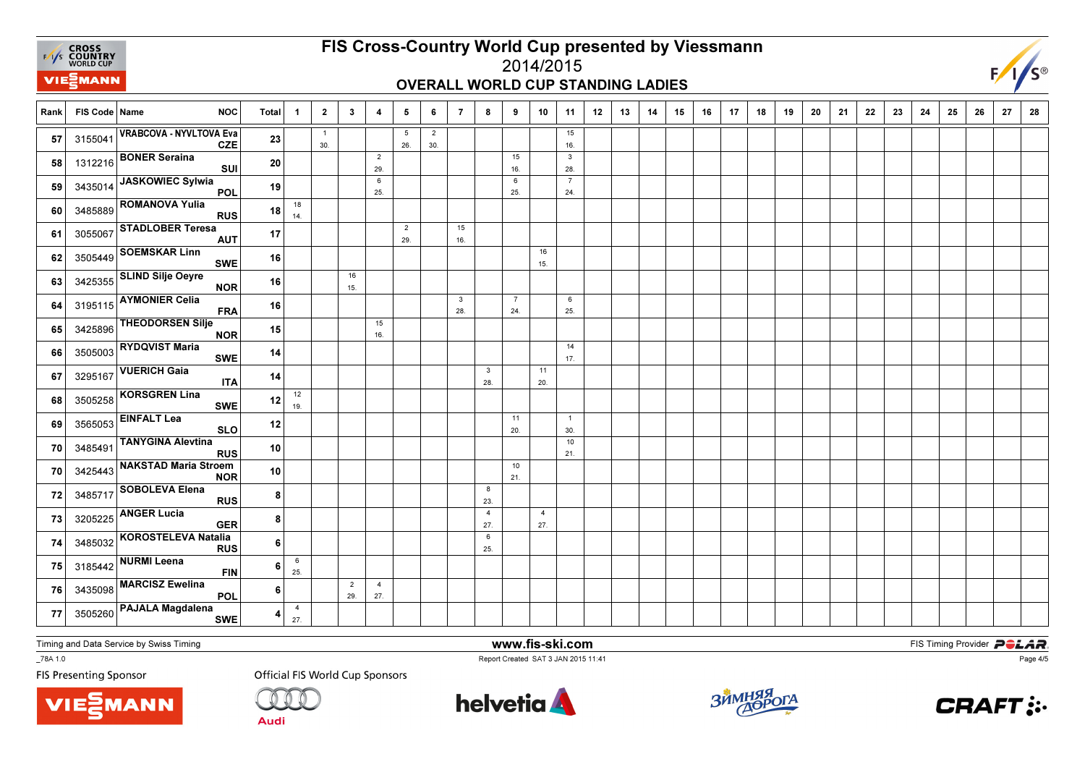

#### FIS Cross-Country World Cup presented by Viessmann2014/2015

#### OVERALL WORLD CUP STANDING LADIES



Rank FIS Code Name NOC Total 1 1 2 | 3 | 4 | 5 | 6 | 7 | 8 | 9 | 10 | 11 | 12 | 13 | 14 | 15 | 16 | 17 | 18 | 19 9 | 20 | 21 | 22 | 23 | 24 | 25 | 26 | 27 | 28 1 30.5 26.2 30.1516. **57** 3155041  $\begin{vmatrix} 3 & -1 \\ 1 & 0 \end{vmatrix}$  **16.5041**  $\begin{vmatrix} 1 & -1 \\ 16 & -1 \end{vmatrix}$  **16.5041**  $\begin{vmatrix} 1 & 1 \\ 16 & -1 \end{vmatrix}$  **16.5041**  $\begin{vmatrix} 1 & 1 \\ 16 & -1 \end{vmatrix}$  **16.5041 16.10**  $57$  315504 VRABCOVA - NYVLTOVA Eva<br>CZE <sup>23</sup> 2 29.15 16.328. 28.<sup>58</sup>58 1312216 BONER Seraina<br>SUI <sup>20</sup> 6 25.6 25.7 $24$ 24.<sup>59</sup> <sup>3435014</sup> JASKOWIEC Sylwia POL <sup>19</sup> 18 $14.$  $\begin{array}{|c|c|c|c|c|}\n\hline\n\text{1485889} & \text{1489889} \\
\hline\n\end{array}$  RUS **ROMANOVA Yulia**  <sup>18</sup>  $\overline{2}$  29.1516. 16.<sup>61</sup>**61** 3055067 STADLOBER Teresa <sup>17</sup> 16 $15.$ 15.<sup>62</sup>62 3505449 SOEMSKAR Linn<br>SWE <sup>16</sup> 16 $15.$ 15.<sup>63</sup> <sup>3425355</sup> SLIND Silje Oeyre NORR 16 3 28.7 24.6 $25.$ 25.<sup>64</sup>64 3195115 AYMONIER Celia<br>FRA <sup>16</sup> 1516. 16.<sup>65</sup>65 3425896 THEODORSEN Silje <sup>15</sup> 14 $17.$ 17.<sup>66</sup>66 3505003 RYDQVIST Maria SWE <sup>14</sup> 3 28.11 $20.$ 20.<sup>67</sup>67 3295167 VUERICH Gaia  $\frac{14}{12}$ 1219. 19.<sup>68</sup>68 3505258 KORSGREN Lina SWE $E$   $12$ 11 20.1 $30<sub>1</sub>$ 30.<sup>69</sup>**69** 3565053 EINFALT Lea SLO  $\overline{\text{o}}$   $\overline{\text{12}}$ 10 21.70  $\begin{array}{|c|c|c|c|c|c|}\hline &3485491 &\textsf{TANYGINA} &\textsf{Revtina} & & & \[1mm] & & & 10 & & & \[1mm] & & & & & \[1mm] & & & & & \[1mm] & & & & & & \[1mm] & & & & & & \[1mm] & & & & & & \[1mm] & & & & & & \[1mm] & & & & & & & \[1mm] \hline \end{array}$  $\mathsf{s}$   $\overline{\phantom{0}}^{10}$ 10 21.70  $\begin{array}{|c|c|c|c|c|}\hline 3425443 & \textsf{NAKSTAD Maria Stroem} \ \hline \end{array}$   $\begin{array}{|c|c|c|c|}\hline 10 & 1 & 1 \\ \hline 21 & 1 & 1 \ \hline \end{array}$  $\frac{1}{R}$  10 8 23. 723485717 SOBOLEVA Elena<br>RUS 84 27.427. **73** 3205225  $\begin{bmatrix} 3205225 \end{bmatrix}$  2205225  $\begin{bmatrix} 3205225 \end{bmatrix}$ **73** 3205225 ANGER Lucia **GER**  <sup>3485032</sup> KOROSTELEVA Natalia RUS86 25. 7466 $25.$ **25.**  $\begin{bmatrix} 3185442 \end{bmatrix}$   $\begin{bmatrix} 1084 \end{bmatrix}$   $\begin{bmatrix} 25 \end{bmatrix}$ **NURMI Leena** FIN 62 29.427. 27.<sup>76</sup> <sup>3435098</sup> MARCISZ Ewelina POL64 27. 77 <sup>3505260</sup> PAJALA Magdalena SWE4

Timing and Data Service by Swiss Timing

\_78A 1.0

**FIS Presenting Sponsor** 

**VIE***MANN* 

**Official FIS World Cup Sponsors** 

Audi



www.fis-ski.com

Report Created SAT 3 JAN 2015 11:41



**m**<br>Fist Timing Provider<br>F<sup>11:41</sup>



Page 4/5